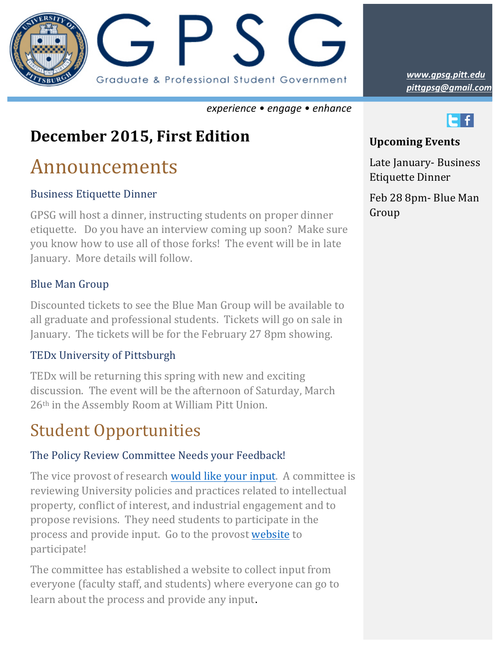

*experience • engage • enhance*

### **December 2015, First Edition**

# Announcements

#### **Business Etiquette Dinner**

GPSG will host a dinner, instructing students on proper dinner etiquette. Do you have an interview coming up soon? Make sure you know how to use all of those forks! The event will be in late January. More details will follow.

#### **Blue Man Group**

Discounted tickets to see the Blue Man Group will be available to all graduate and professional students. Tickets will go on sale in January. The tickets will be for the February 27 8pm showing.

#### TEDx University of Pittsburgh

TED<sub>x</sub> will be returning this spring with new and exciting discussion. The event will be the afternoon of Saturday, March  $26<sup>th</sup>$  in the Assembly Room at William Pitt Union.

## **Student Opportunities**

#### The Policy Review Committee Needs your Feedback!

The vice provost of research would like your input. A committee is reviewing University policies and practices related to intellectual property, conflict of interest, and industrial engagement and to propose revisions. They need students to participate in the process and provide input. Go to the provost website to participate!

The committee has established a website to collect input from everyone (faculty staff, and students) where everyone can go to learn about the process and provide any input.

*pittgpsg@gmail.com www.gpsg.pitt.edu*



#### **Upcoming Events**

Late January- Business **Etiquette Dinner** 

Feb 28 8pm- Blue Man Group